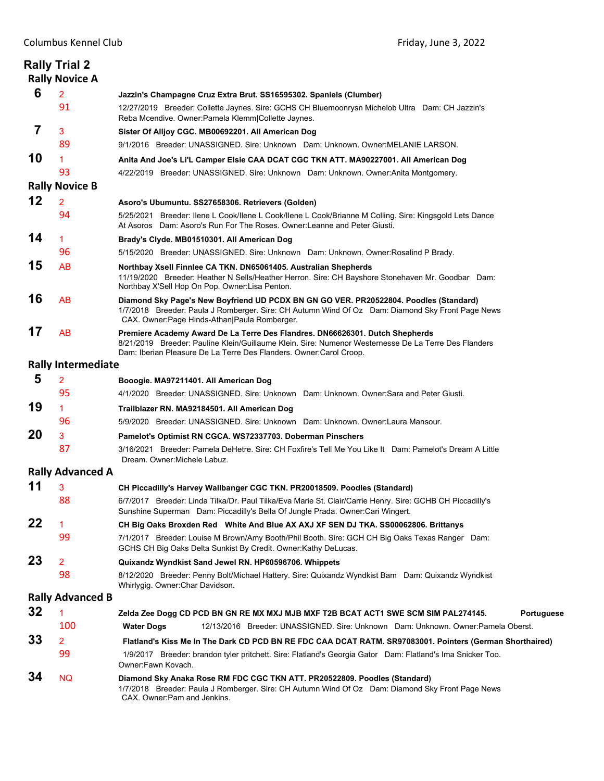|                         | <b>Rally Trial 2</b><br><b>Rally Novice A</b> |                                                                                                                                                                                                                                                             |  |
|-------------------------|-----------------------------------------------|-------------------------------------------------------------------------------------------------------------------------------------------------------------------------------------------------------------------------------------------------------------|--|
| 6                       | 2                                             | Jazzin's Champagne Cruz Extra Brut. SS16595302. Spaniels (Clumber)                                                                                                                                                                                          |  |
|                         | 91                                            | 12/27/2019 Breeder: Collette Jaynes. Sire: GCHS CH Bluemoonrysn Michelob Ultra Dam: CH Jazzin's<br>Reba Mcendive. Owner: Pamela Klemm Collette Jaynes.                                                                                                      |  |
| 7                       | 3                                             | Sister Of Alljoy CGC. MB00692201. All American Dog                                                                                                                                                                                                          |  |
|                         | 89                                            | 9/1/2016 Breeder: UNASSIGNED. Sire: Unknown Dam: Unknown. Owner: MELANIE LARSON.                                                                                                                                                                            |  |
| 10                      | 1                                             | Anita And Joe's Li'L Camper Elsie CAA DCAT CGC TKN ATT. MA90227001. All American Dog                                                                                                                                                                        |  |
|                         | 93                                            | 4/22/2019 Breeder: UNASSIGNED. Sire: Unknown Dam: Unknown. Owner:Anita Montgomery.                                                                                                                                                                          |  |
|                         | <b>Rally Novice B</b>                         |                                                                                                                                                                                                                                                             |  |
| 12                      | 2                                             | Asoro's Ubumuntu. SS27658306. Retrievers (Golden)                                                                                                                                                                                                           |  |
|                         | 94                                            | 5/25/2021 Breeder: Ilene L Cook/Ilene L Cook/Ilene L Cook/Brianne M Colling. Sire: Kingsgold Lets Dance<br>At Asoros Dam: Asoro's Run For The Roses. Owner: Leanne and Peter Giusti.                                                                        |  |
| 14                      | 1                                             | Brady's Clyde. MB01510301. All American Dog                                                                                                                                                                                                                 |  |
|                         | 96                                            | 5/15/2020 Breeder: UNASSIGNED. Sire: Unknown Dam: Unknown. Owner: Rosalind P Brady.                                                                                                                                                                         |  |
| 15                      | <b>AB</b>                                     | Northbay Xsell Finnlee CA TKN. DN65061405. Australian Shepherds<br>11/19/2020 Breeder: Heather N Sells/Heather Herron. Sire: CH Bayshore Stonehaven Mr. Goodbar Dam:<br>Northbay X'Sell Hop On Pop. Owner:Lisa Penton.                                      |  |
| 16                      | AB                                            | Diamond Sky Page's New Boyfriend UD PCDX BN GN GO VER. PR20522804. Poodles (Standard)<br>1/7/2018 Breeder: Paula J Romberger. Sire: CH Autumn Wind Of Oz Dam: Diamond Sky Front Page News<br>CAX. Owner: Page Hinds-Athan   Paula Romberger.                |  |
| 17                      | AB                                            | Premiere Academy Award De La Terre Des Flandres. DN66626301. Dutch Shepherds<br>8/21/2019 Breeder: Pauline Klein/Guillaume Klein, Sire: Numenor Westernesse De La Terre Des Flanders<br>Dam: Iberian Pleasure De La Terre Des Flanders. Owner: Carol Croop. |  |
|                         | <b>Rally Intermediate</b>                     |                                                                                                                                                                                                                                                             |  |
| 5                       | 2                                             | Booogie. MA97211401. All American Dog                                                                                                                                                                                                                       |  |
|                         | 95                                            | 4/1/2020 Breeder: UNASSIGNED. Sire: Unknown Dam: Unknown. Owner: Sara and Peter Giusti.                                                                                                                                                                     |  |
| 19                      | 1                                             | Trailblazer RN. MA92184501. All American Dog                                                                                                                                                                                                                |  |
|                         | 96                                            | 5/9/2020 Breeder: UNASSIGNED. Sire: Unknown Dam: Unknown. Owner:Laura Mansour.                                                                                                                                                                              |  |
| 20                      | 3                                             | Pamelot's Optimist RN CGCA. WS72337703. Doberman Pinschers                                                                                                                                                                                                  |  |
|                         | 87                                            | 3/16/2021   Breeder: Pamela DeHetre. Sire: CH Foxfire's Tell Me You Like It   Dam: Pamelot's Dream A Little<br>Dream. Owner: Michele Labuz.                                                                                                                 |  |
| <b>Rally Advanced A</b> |                                               |                                                                                                                                                                                                                                                             |  |
| 11                      | 3                                             | CH Piccadilly's Harvey Wallbanger CGC TKN. PR20018509. Poodles (Standard)                                                                                                                                                                                   |  |
|                         | 88                                            | 6/7/2017 Breeder: Linda Tilka/Dr. Paul Tilka/Eva Marie St. Clair/Carrie Henry. Sire: GCHB CH Piccadilly's<br>Sunshine Superman Dam: Piccadilly's Bella Of Jungle Prada. Owner: Cari Wingert.                                                                |  |
| 22                      | $\mathbf{1}$                                  | CH Big Oaks Broxden Red White And Blue AX AXJ XF SEN DJ TKA. SS00062806. Brittanys                                                                                                                                                                          |  |
|                         | 99                                            | 7/1/2017 Breeder: Louise M Brown/Amy Booth/Phil Booth. Sire: GCH CH Big Oaks Texas Ranger Dam:<br>GCHS CH Big Oaks Delta Sunkist By Credit. Owner: Kathy DeLucas.                                                                                           |  |
| 23                      | 2                                             | Quixandz Wyndkist Sand Jewel RN. HP60596706. Whippets                                                                                                                                                                                                       |  |
|                         | 98                                            | 8/12/2020 Breeder: Penny Bolt/Michael Hattery. Sire: Quixandz Wyndkist Bam Dam: Quixandz Wyndkist<br>Whirlygig. Owner: Char Davidson.                                                                                                                       |  |
|                         | <b>Rally Advanced B</b>                       |                                                                                                                                                                                                                                                             |  |
| 32                      | 1                                             | Zelda Zee Dogg CD PCD BN GN RE MX MXJ MJB MXF T2B BCAT ACT1 SWE SCM SIM PAL274145.<br><b>Portuguese</b>                                                                                                                                                     |  |
|                         | 100                                           | <b>Water Dogs</b><br>12/13/2016 Breeder: UNASSIGNED. Sire: Unknown Dam: Unknown. Owner:Pamela Oberst.                                                                                                                                                       |  |
| 33                      | 2                                             | Flatland's Kiss Me In The Dark CD PCD BN RE FDC CAA DCAT RATM. SR97083001. Pointers (German Shorthaired)                                                                                                                                                    |  |
|                         | 99                                            | 1/9/2017 Breeder: brandon tyler pritchett. Sire: Flatland's Georgia Gator Dam: Flatland's Ima Snicker Too.<br>Owner:Fawn Kovach.                                                                                                                            |  |
| 34                      | <b>NQ</b>                                     | Diamond Sky Anaka Rose RM FDC CGC TKN ATT. PR20522809. Poodles (Standard)<br>1/7/2018 Breeder: Paula J Romberger. Sire: CH Autumn Wind Of Oz Dam: Diamond Sky Front Page News<br>CAX. Owner: Pam and Jenkins.                                               |  |